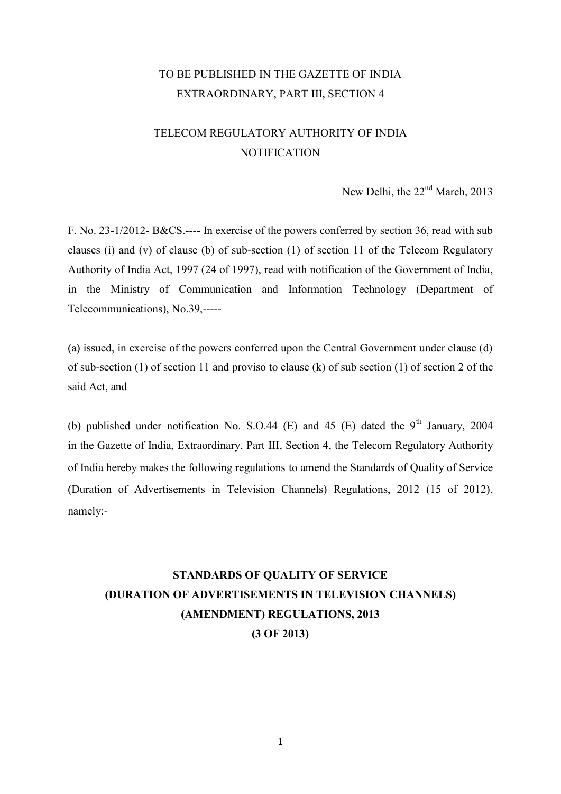# TO BE PUBLISHED IN THE GAZETTE OF INDIA EXTRAORDINARY, PART III, SECTION 4

# TELECOM REGULATORY AUTHORITY OF INDIA **NOTIFICATION**

New Delhi, the 22<sup>nd</sup> March, 2013

F. No. 23-1/2012- B&CS.---- In exercise of the powers conferred by section 36, read with sub clauses (i) and (v) of clause (b) of sub-section (1) of section 11 of the Telecom Regulatory Authority of India Act, 1997 (24 of 1997), read with notification of the Government of India, in the Ministry of Communication and Information Technology (Department of Telecommunications), No.39,-----

(a) issued, in exercise of the powers conferred upon the Central Government under clause (d) of sub-section (1) of section 11 and proviso to clause (k) of sub section (1) of section 2 of the said Act, and

(b) published under notification No. S.O.44 (E) and 45 (E) dated the  $9<sup>th</sup>$  January, 2004 in the Gazette of India, Extraordinary, Part III, Section 4, the Telecom Regulatory Authority of India hereby makes the following regulations to amend the Standards of Quality of Service (Duration of Advertisements in Television Channels) Regulations, 2012 (15 of 2012), namely:-

# STANDARDS OF QUALITY OF SERVICE (DURATION OF ADVERTISEMENTS IN TELEVISION CHANNELS) (AMENDMENT) REGULATIONS, 2013 (3 OF 2013)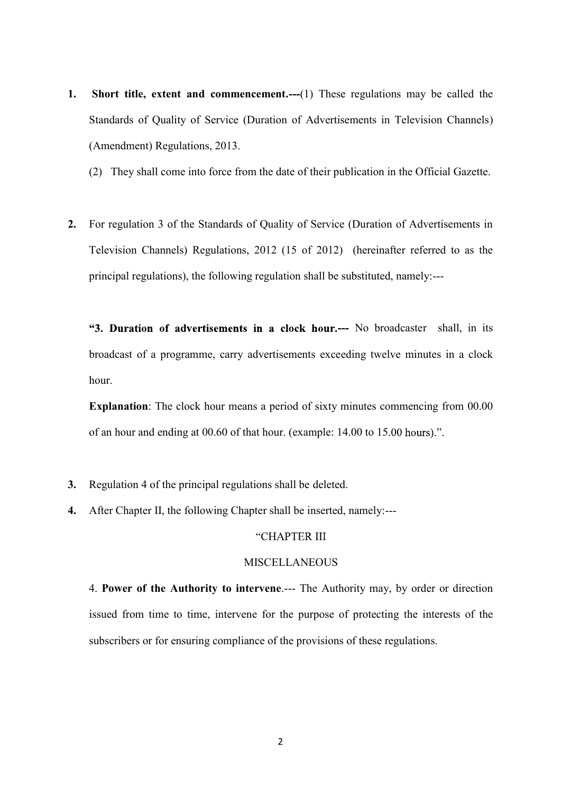- 1. Short title, extent and commencement.---(1) These regulations may be called the Standards of Quality of Service (Duration of Advertisements in Television Channels) (Amendment) Regulations, 2013.
	- (2) They shall come into force from the date of their publication in the Official Gazette.
- 2. For regulation 3 of the Standards of Quality of Service (Duration of Advertisements in Television Channels) Regulations, 2012 (15 of 2012) (hereinafter referred to as the principal regulations), the following regulation shall be substituted, namely:---

"3. Duration of advertisements in a clock hour.--- No broadcaster shall, in its broadcast of a programme, carry advertisements exceeding twelve minutes in a clock hour.

Explanation: The clock hour means a period of sixty minutes commencing from 00.00 of an hour and ending at 00.60 of that hour. (example: 14.00 to 15.00 hours).".

- 3. Regulation 4 of the principal regulations shall be deleted.
- 4. After Chapter II, the following Chapter shall be inserted, namely:---

## "CHAPTER III

#### **MISCELLANEOUS**

4. Power of the Authority to intervene.--- The Authority may, by order or direction issued from time to time, intervene for the purpose of protecting the interests of the subscribers or for ensuring compliance of the provisions of these regulations.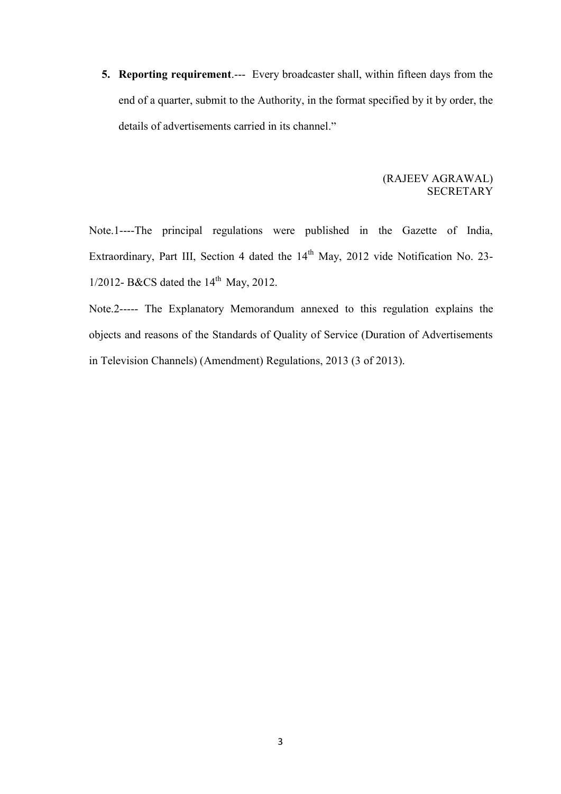5. Reporting requirement.--- Every broadcaster shall, within fifteen days from the end of a quarter, submit to the Authority, in the format specified by it by order, the details of advertisements carried in its channel." end of a quarter, submit to the Authority, in the format specified by it by order, the details of advertisements carried in its channel."

## (RAJEEV AGRAWAL) SECRETARY

Note.1----The principal regulations were published in the Gazette of India, Extraordinary, Part III, Section 4 dated the 14<sup>th</sup> May, 2012 vide Notification No. 23- $1/2012$ - B&CS dated the  $14<sup>th</sup>$  May, 2012.

Note.2----- The Explanatory Memorandum annexed to this regulation explains the objects and reasons of the Standards of Quality of Service (Duration of Advertisements in Television Channels) (Amendment) Regulations, 2013 (3 of 2013).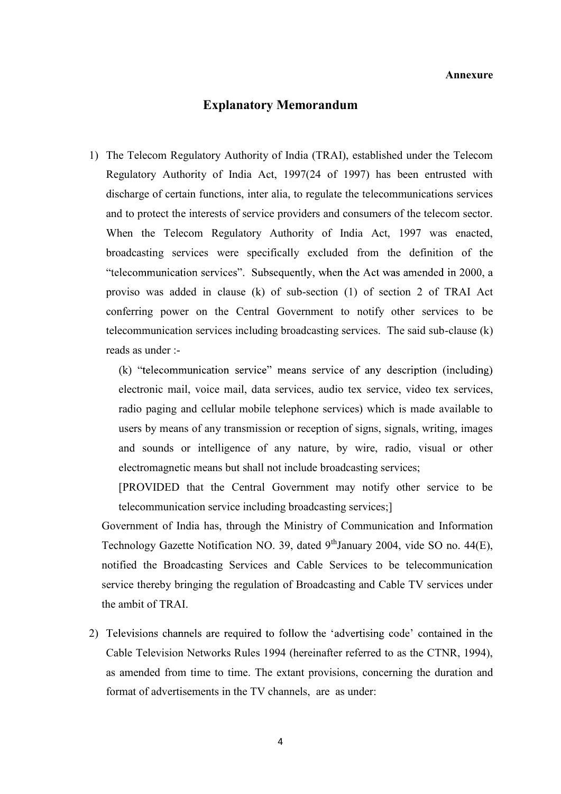#### Annexure

## Explanatory Memorandum

1) The Telecom Regulatory Authority of India (TRAI), established under the Telecom Regulatory Authority of India Act, 1997(24 of 1997) has been entrusted with discharge of certain functions, inter alia, to regulate the telecommunications services and to protect the interests of service providers and consumers of the telecom sector. When the Telecom Regulatory Authority of India Act, 1997 was enacted, broadcasting services were specifically excluded from the definition of the "telecommunication services". Subsequently, when the Act was amended in 2000, a proviso was added in clause (k) of sub-section (1) of section 2 of TRAI Act conferring power on the Central Government to notify other services to be telecommunication services including broadcasting services. The said sub-clause (k) reads as under :-

(k) "telecommunication service" means service of any description (including) electronic mail, voice mail, data services, audio tex service, video tex services, radio paging and cellular mobile telephone services) which is made available to users by means of any transmission or reception of signs, signals, writing, images and sounds or intelligence of any nature, by wire, radio, visual or other electromagnetic means but shall not include broadcasting services;

[PROVIDED that the Central Government may notify other service to be telecommunication service including broadcasting services;]

Government of India has, through the Ministry of Communication and Information Technology Gazette Notification NO. 39, dated  $9<sup>th</sup>$ January 2004, vide SO no. 44(E), notified the Broadcasting Services and Cable Services to be telecommunication service thereby bringing the regulation of Broadcasting and Cable TV services under the ambit of TRAI.

2) Televisions channels are required to follow the 'advertising code' contained in the Cable Television Networks Rules 1994 (hereinafter referred to as the CTNR, 1994), as amended from time to time. The extant provisions, concerning the duration and format of advertisements in the TV channels, are as under: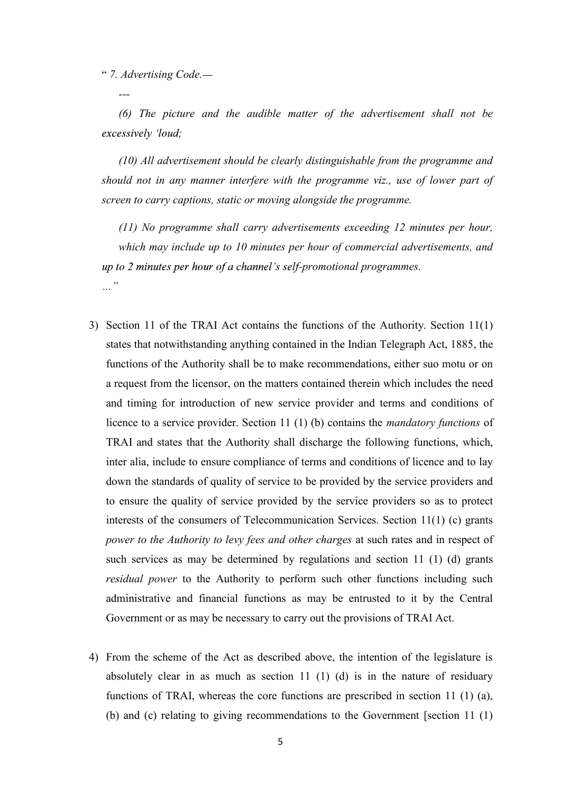7. Advertising Code.

 $-1.1$  -maximum construction  $-1.1$ 

 (6) The picture and the audible matter of the advertisement shall not be excessively 'loud;

 (10) All advertisement should be clearly distinguishable from the programme and should not in any manner interfere with the programme viz., use of lower part of screen to carry captions, static or moving alongside the programme.

 (11) No programme shall carry advertisements exceeding 12 minutes per hour, which may include up to 10 minutes per hour of commercial advertisements, and up to  $2$  minutes per hour of a channel's self-promotional programmes.  $\cdots$ <sup>33</sup>

- 3) Section 11 of the TRAI Act contains the functions of the Authority. Section 11(1) states that notwithstanding anything contained in the Indian Telegraph Act, 1885, the functions of the Authority shall be to make recommendations, either suo motu or on a request from the licensor, on the matters contained therein which includes the need and timing for introduction of new service provider and terms and conditions of licence to a service provider. Section 11 (1) (b) contains the mandatory functions of TRAI and states that the Authority shall discharge the following functions, which, inter alia, include to ensure compliance of terms and conditions of licence and to lay down the standards of quality of service to be provided by the service providers and to ensure the quality of service provided by the service providers so as to protect interests of the consumers of Telecommunication Services. Section 11(1) (c) grants power to the Authority to levy fees and other charges at such rates and in respect of such services as may be determined by regulations and section 11 (1) (d) grants residual power to the Authority to perform such other functions including such administrative and financial functions as may be entrusted to it by the Central Government or as may be necessary to carry out the provisions of TRAI Act.
- 4) From the scheme of the Act as described above, the intention of the legislature is absolutely clear in as much as section 11 (1) (d) is in the nature of residuary functions of TRAI, whereas the core functions are prescribed in section 11 (1) (a), (b) and (c) relating to giving recommendations to the Government [section 11 (1)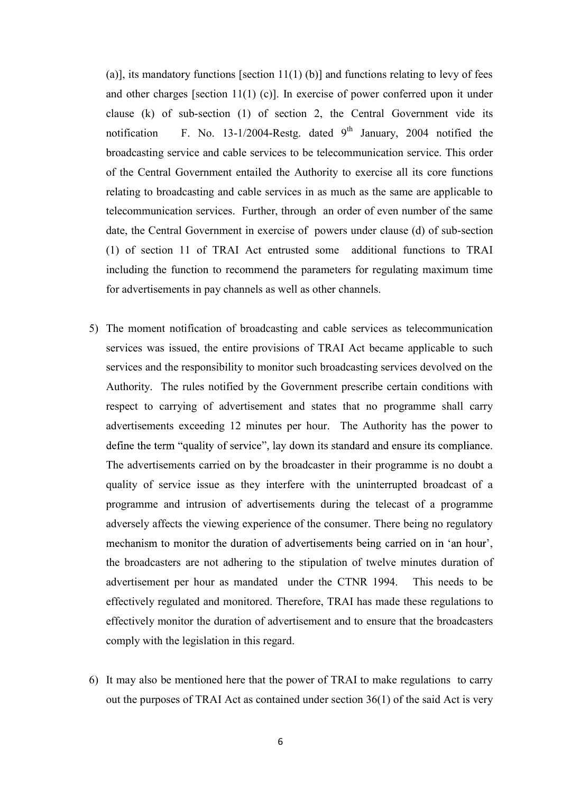(a)], its mandatory functions [section  $11(1)$  (b)] and functions relating to levy of fees and other charges [section 11(1) (c)]. In exercise of power conferred upon it under clause (k) of sub-section (1) of section 2, the Central Government vide its notification F. No. 13-1/2004-Restg. dated  $9<sup>th</sup>$  January, 2004 notified the broadcasting service and cable services to be telecommunication service. This order of the Central Government entailed the Authority to exercise all its core functions relating to broadcasting and cable services in as much as the same are applicable to telecommunication services. Further, through an order of even number of the same date, the Central Government in exercise of powers under clause (d) of sub-section (1) of section 11 of TRAI Act entrusted some additional functions to TRAI including the function to recommend the parameters for regulating maximum time for advertisements in pay channels as well as other channels.

- 5) The moment notification of broadcasting and cable services as telecommunication services was issued, the entire provisions of TRAI Act became applicable to such services and the responsibility to monitor such broadcasting services devolved on the Authority. The rules notified by the Government prescribe certain conditions with respect to carrying of advertisement and states that no programme shall carry advertisements exceeding 12 minutes per hour. The Authority has the power to define the term "quality of service", lay down its standard and ensure its compliance. The advertisements carried on by the broadcaster in their programme is no doubt a quality of service issue as they interfere with the uninterrupted broadcast of a programme and intrusion of advertisements during the telecast of a programme adversely affects the viewing experience of the consumer. There being no regulatory mechanism to monitor the duration of advertisements being carried on in 'an hour', the broadcasters are not adhering to the stipulation of twelve minutes duration of advertisement per hour as mandated under the CTNR 1994. This needs to be effectively regulated and monitored. Therefore, TRAI has made these regulations to effectively monitor the duration of advertisement and to ensure that the broadcasters comply with the legislation in this regard.
- 6) It may also be mentioned here that the power of TRAI to make regulations to carry out the purposes of TRAI Act as contained under section 36(1) of the said Act is very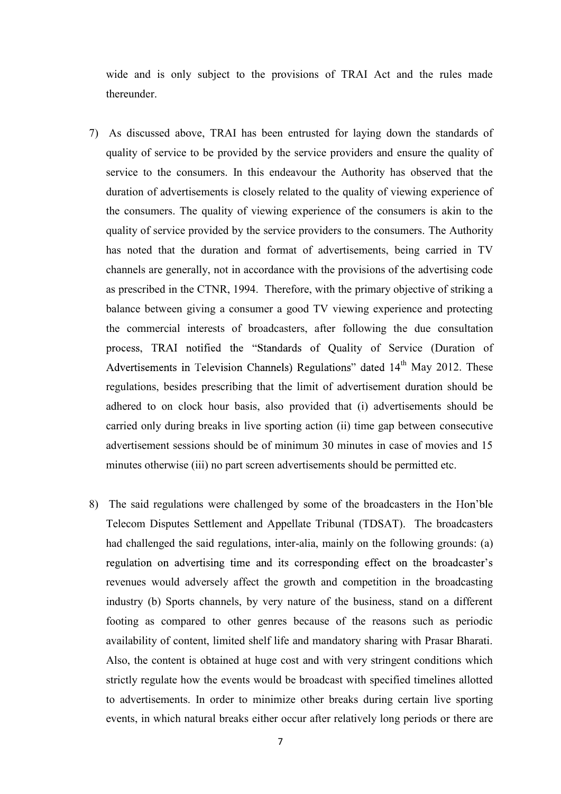wide and is only subject to the provisions of TRAI Act and the rules made thereunder.

- 7) As discussed above, TRAI has been entrusted for laying down the standards of quality of service to be provided by the service providers and ensure the quality of service to the consumers. In this endeavour the Authority has observed that the duration of advertisements is closely related to the quality of viewing experience of the consumers. The quality of viewing experience of the consumers is akin to the quality of service provided by the service providers to the consumers. The Authority has noted that the duration and format of advertisements, being carried in TV channels are generally, not in accordance with the provisions of the advertising code as prescribed in the CTNR, 1994. Therefore, with the primary objective of striking a balance between giving a consumer a good TV viewing experience and protecting the commercial interests of broadcasters, after following the due consultation process, TRAI notified the "Standards of Quality of Service (Duration of Advertisements in Television Channels) Regulations" dated 14<sup>th</sup> May 2012. These regulations, besides prescribing that the limit of advertisement duration should be adhered to on clock hour basis, also provided that (i) advertisements should be carried only during breaks in live sporting action (ii) time gap between consecutive advertisement sessions should be of minimum 30 minutes in case of movies and 15 minutes otherwise (iii) no part screen advertisements should be permitted etc.
- 8) The said regulations were challenged by some of the broadcasters in the Telecom Disputes Settlement and Appellate Tribunal (TDSAT). The broadcasters had challenged the said regulations, inter-alia, mainly on the following grounds: (a) regulation on advertising time and its corresponding effect on the broadcaster's revenues would adversely affect the growth and competition in the broadcasting industry (b) Sports channels, by very nature of the business, stand on a different footing as compared to other genres because of the reasons such as periodic availability of content, limited shelf life and mandatory sharing with Prasar Bharati. Also, the content is obtained at huge cost and with very stringent conditions which strictly regulate how the events would be broadcast with specified timelines allotted to advertisements. In order to minimize other breaks during certain live sporting events, in which natural breaks either occur after relatively long periods or there are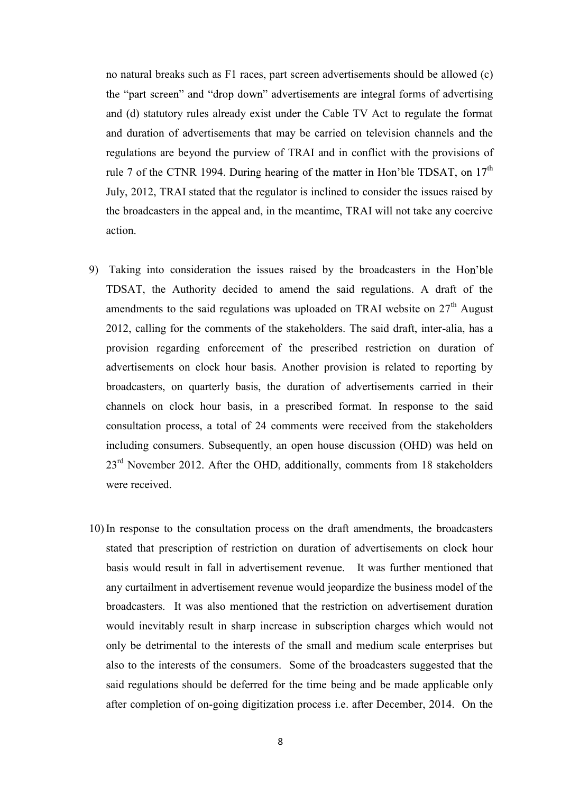no natural breaks such as F1 races, part screen advertisements should be allowed (c) the "part screen" and "drop down" advertisements are integral forms of advertising and (d) statutory rules already exist under the Cable TV Act to regulate the format and duration of advertisements that may be carried on television channels and the regulations are beyond the purview of TRAI and in conflict with the provisions of rule 7 of the CTNR 1994. During hearing of the matter in Hon'ble TDSAT, on  $17<sup>th</sup>$ July, 2012, TRAI stated that the regulator is inclined to consider the issues raised by the broadcasters in the appeal and, in the meantime, TRAI will not take any coercive action.

- 9) Taking into consideration the issues raised by the broadcasters in the H TDSAT, the Authority decided to amend the said regulations. A draft of the amendments to the said regulations was uploaded on TRAI website on  $27<sup>th</sup>$  August 2012, calling for the comments of the stakeholders. The said draft, inter-alia, has a provision regarding enforcement of the prescribed restriction on duration of advertisements on clock hour basis. Another provision is related to reporting by broadcasters, on quarterly basis, the duration of advertisements carried in their channels on clock hour basis, in a prescribed format. In response to the said consultation process, a total of 24 comments were received from the stakeholders including consumers. Subsequently, an open house discussion (OHD) was held on 23<sup>rd</sup> November 2012. After the OHD, additionally, comments from 18 stakeholders were received.
- 10) In response to the consultation process on the draft amendments, the broadcasters stated that prescription of restriction on duration of advertisements on clock hour basis would result in fall in advertisement revenue. It was further mentioned that any curtailment in advertisement revenue would jeopardize the business model of the broadcasters. It was also mentioned that the restriction on advertisement duration would inevitably result in sharp increase in subscription charges which would not only be detrimental to the interests of the small and medium scale enterprises but also to the interests of the consumers. Some of the broadcasters suggested that the said regulations should be deferred for the time being and be made applicable only after completion of on-going digitization process i.e. after December, 2014. On the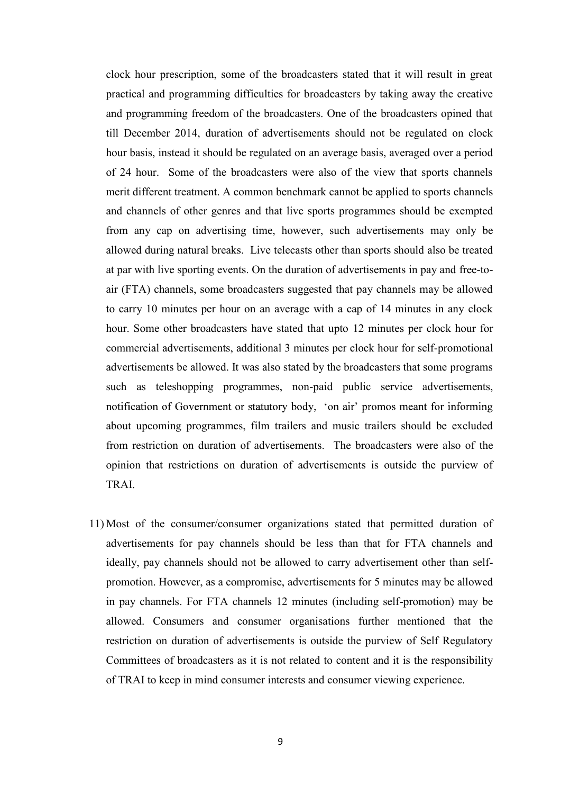clock hour prescription, some of the broadcasters stated that it will result in great practical and programming difficulties for broadcasters by taking away the creative and programming freedom of the broadcasters. One of the broadcasters opined that till December 2014, duration of advertisements should not be regulated on clock hour basis, instead it should be regulated on an average basis, averaged over a period of 24 hour. Some of the broadcasters were also of the view that sports channels merit different treatment. A common benchmark cannot be applied to sports channels and channels of other genres and that live sports programmes should be exempted from any cap on advertising time, however, such advertisements may only be allowed during natural breaks. Live telecasts other than sports should also be treated at par with live sporting events. On the duration of advertisements in pay and free-toair (FTA) channels, some broadcasters suggested that pay channels may be allowed to carry 10 minutes per hour on an average with a cap of 14 minutes in any clock hour. Some other broadcasters have stated that upto 12 minutes per clock hour for commercial advertisements, additional 3 minutes per clock hour for self-promotional advertisements be allowed. It was also stated by the broadcasters that some programs such as teleshopping programmes, non-paid public service advertisements, notification of Government or statutory body, 'on air' promos meant for informing about upcoming programmes, film trailers and music trailers should be excluded from restriction on duration of advertisements. The broadcasters were also of the opinion that restrictions on duration of advertisements is outside the purview of TRAI.

11) Most of the consumer/consumer organizations stated that permitted duration of advertisements for pay channels should be less than that for FTA channels and ideally, pay channels should not be allowed to carry advertisement other than selfpromotion. However, as a compromise, advertisements for 5 minutes may be allowed in pay channels. For FTA channels 12 minutes (including self-promotion) may be allowed. Consumers and consumer organisations further mentioned that the restriction on duration of advertisements is outside the purview of Self Regulatory Committees of broadcasters as it is not related to content and it is the responsibility of TRAI to keep in mind consumer interests and consumer viewing experience.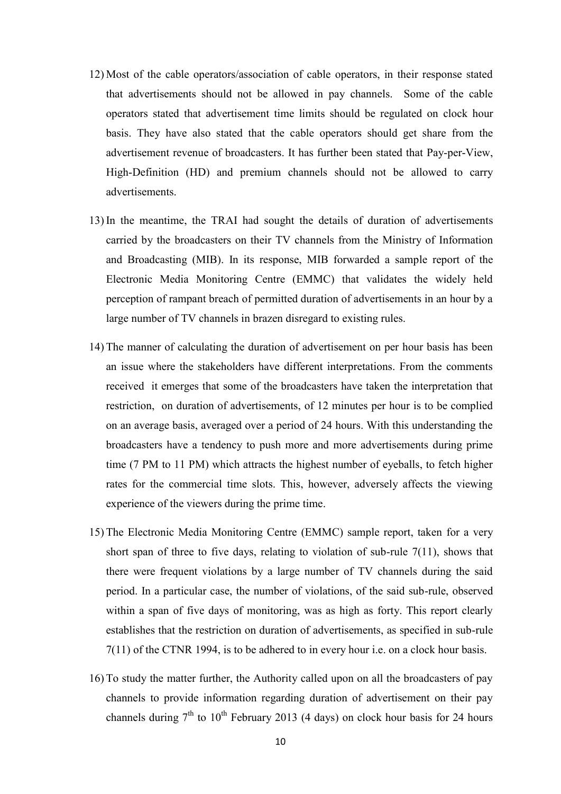- 12) Most of the cable operators/association of cable operators, in their response stated that advertisements should not be allowed in pay channels. Some of the cable operators stated that advertisement time limits should be regulated on clock hour basis. They have also stated that the cable operators should get share from the advertisement revenue of broadcasters. It has further been stated that Pay-per-View, High-Definition (HD) and premium channels should not be allowed to carry advertisements.
- 13) In the meantime, the TRAI had sought the details of duration of advertisements carried by the broadcasters on their TV channels from the Ministry of Information and Broadcasting (MIB). In its response, MIB forwarded a sample report of the Electronic Media Monitoring Centre (EMMC) that validates the widely held perception of rampant breach of permitted duration of advertisements in an hour by a large number of TV channels in brazen disregard to existing rules.
- 14) The manner of calculating the duration of advertisement on per hour basis has been an issue where the stakeholders have different interpretations. From the comments received it emerges that some of the broadcasters have taken the interpretation that restriction, on duration of advertisements, of 12 minutes per hour is to be complied on an average basis, averaged over a period of 24 hours. With this understanding the broadcasters have a tendency to push more and more advertisements during prime time (7 PM to 11 PM) which attracts the highest number of eyeballs, to fetch higher rates for the commercial time slots. This, however, adversely affects the viewing experience of the viewers during the prime time.
- 15) The Electronic Media Monitoring Centre (EMMC) sample report, taken for a very short span of three to five days, relating to violation of sub-rule 7(11), shows that there were frequent violations by a large number of TV channels during the said period. In a particular case, the number of violations, of the said sub-rule, observed within a span of five days of monitoring, was as high as forty. This report clearly establishes that the restriction on duration of advertisements, as specified in sub-rule 7(11) of the CTNR 1994, is to be adhered to in every hour i.e. on a clock hour basis.
- 16) To study the matter further, the Authority called upon on all the broadcasters of pay channels to provide information regarding duration of advertisement on their pay channels during  $7<sup>th</sup>$  to  $10<sup>th</sup>$  February 2013 (4 days) on clock hour basis for 24 hours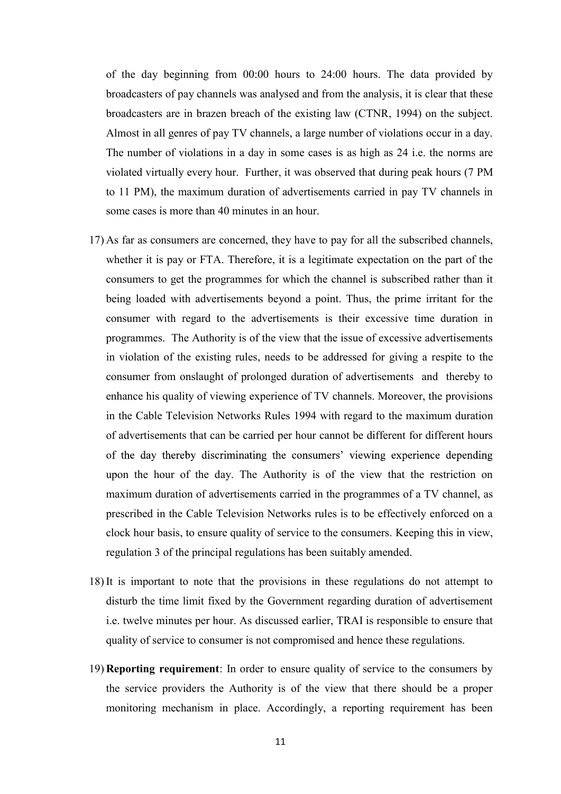of the day beginning from 00:00 hours to 24:00 hours. The data provided by broadcasters of pay channels was analysed and from the analysis, it is clear that these broadcasters are in brazen breach of the existing law (CTNR, 1994) on the subject. Almost in all genres of pay TV channels, a large number of violations occur in a day. The number of violations in a day in some cases is as high as 24 i.e. the norms are violated virtually every hour. Further, it was observed that during peak hours (7 PM to 11 PM), the maximum duration of advertisements carried in pay TV channels in some cases is more than 40 minutes in an hour.

- 17) As far as consumers are concerned, they have to pay for all the subscribed channels, whether it is pay or FTA. Therefore, it is a legitimate expectation on the part of the consumers to get the programmes for which the channel is subscribed rather than it being loaded with advertisements beyond a point. Thus, the prime irritant for the consumer with regard to the advertisements is their excessive time duration in programmes. The Authority is of the view that the issue of excessive advertisements in violation of the existing rules, needs to be addressed for giving a respite to the consumer from onslaught of prolonged duration of advertisements and thereby to enhance his quality of viewing experience of TV channels. Moreover, the provisions in the Cable Television Networks Rules 1994 with regard to the maximum duration of advertisements that can be carried per hour cannot be different for different hours of the day thereby discriminating the consumers' viewing experience depending upon the hour of the day. The Authority is of the view that the restriction on maximum duration of advertisements carried in the programmes of a TV channel, as prescribed in the Cable Television Networks rules is to be effectively enforced on a clock hour basis, to ensure quality of service to the consumers. Keeping this in view, regulation 3 of the principal regulations has been suitably amended.
- 18) It is important to note that the provisions in these regulations do not attempt to disturb the time limit fixed by the Government regarding duration of advertisement i.e. twelve minutes per hour. As discussed earlier, TRAI is responsible to ensure that quality of service to consumer is not compromised and hence these regulations.
- 19) Reporting requirement: In order to ensure quality of service to the consumers by the service providers the Authority is of the view that there should be a proper monitoring mechanism in place. Accordingly, a reporting requirement has been